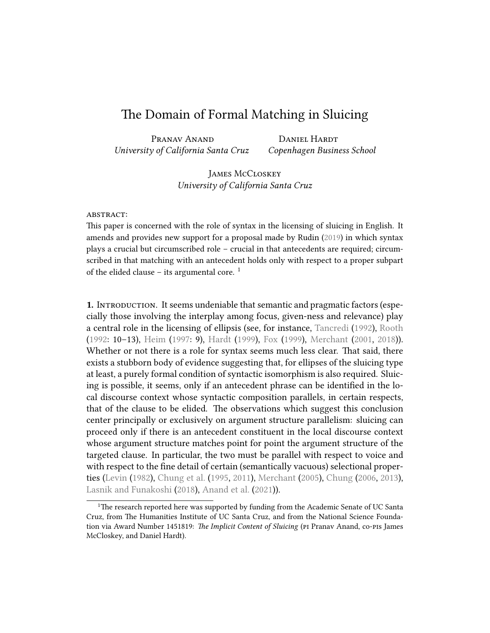# The Domain of Formal Matching in Sluicing

PRANAV ANAND DANIEL HARDT *University of California Santa Cruz Copenhagen Business School*

James McClosKey *University of California Santa Cruz*

#### abstRact:

This paper is concerned with the role of syntax in the licensing of sluicing in English. It amends and provides new support for a proposal made by Rudin [\(2019\)](#page-21-0) in which syntax plays a crucial but circumscribed role – crucial in that antecedents are required; circumscribed in that matching with an antecedent holds only with respect to a proper subpart of the elided clause – its argumental core.  $1$ 

**1.** INTRODUCTION. It seems undeniable that semantic and pragmatic factors (especially those involving the interplay among focus, given-ness and relevance) play a central role in the licensing of ellipsis (see, for instance, [Tancredi](#page-21-1) ([1992](#page-21-1)), [Rooth](#page-20-0) ([1992:](#page-20-0) 10–13), [Heim](#page-19-0) ([1997](#page-19-0): 9), [Hardt](#page-19-1) ([1999\)](#page-19-1), [Fox](#page-19-2) [\(1999](#page-19-2)), [Merchant](#page-20-1) ([2001](#page-20-1), [2018](#page-20-2))). Whether or not there is a role for syntax seems much less clear. That said, there exists a stubborn body of evidence suggesting that, for ellipses of the sluicing type at least, a purely formal condition of syntactic isomorphism is also required. Sluicing is possible, it seems, only if an antecedent phrase can be identified in the local discourse context whose syntactic composition parallels, in certain respects, that of the clause to be elided. The observations which suggest this conclusion center principally or exclusively on argument structure parallelism: sluicing can proceed only if there is an antecedent constituent in the local discourse context whose argument structure matches point for point the argument structure of the targeted clause. In particular, the two must be parallel with respect to voice and with respect to the fine detail of certain (semantically vacuous) selectional properties([Levin](#page-20-3) ([1982\)](#page-20-3), [Chung et al.](#page-18-0) [\(1995,](#page-18-0) [2011](#page-18-1)), [Merchant](#page-20-4) [\(2005\)](#page-20-4), [Chung](#page-18-2) ([2006,](#page-18-2) [2013\)](#page-18-3), [Lasnik and Funakoshi](#page-20-5) [\(2018\)](#page-20-5), [Anand et al.](#page-18-4) [\(2021\)](#page-18-4)).

<span id="page-0-0"></span><sup>&</sup>lt;sup>1</sup>The research reported here was supported by funding from the Academic Senate of UC Santa Cruz, from The Humanities Institute of UC Santa Cruz, and from the National Science Foundation via Award Number 1451819: *The Implicit Content of Sluicing* (pi Pranav Anand, co-pis James McCloskey, and Daniel Hardt).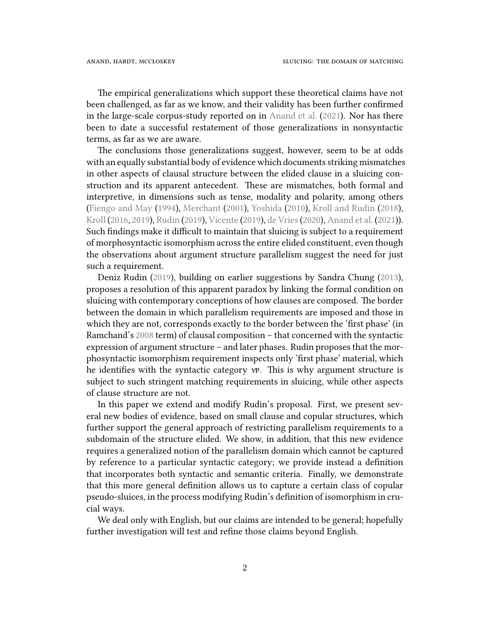The empirical generalizations which support these theoretical claims have not been challenged, as far as we know, and their validity has been further confirmed in the large-scale corpus-study reported on in [Anand et al.](#page-18-4) [\(2021](#page-18-4)). Nor has there been to date a successful restatement of those generalizations in nonsyntactic terms, as far as we are aware.

The conclusions those generalizations suggest, however, seem to be at odds with an equally substantial body of evidence which documents striking mismatches in other aspects of clausal structure between the elided clause in a sluicing construction and its apparent antecedent. These are mismatches, both formal and interpretive, in dimensions such as tense, modality and polarity, among others ([Fiengo and May](#page-19-3) [\(1994\)](#page-19-3), [Merchant](#page-20-1) ([2001](#page-20-1)), [Yoshida](#page-21-2) [\(2010](#page-21-2)), [Kroll and Rudin](#page-19-4) ([2018\)](#page-19-4), [Kroll](#page-19-5) ([2016](#page-19-5), [2019](#page-19-6)), [Rudin](#page-21-0) [\(2019\)](#page-21-0), [Vicente](#page-21-3) ([2019\)](#page-21-3), [de Vries\(2020\)](#page-21-4), [Anand et al.](#page-18-4) [\(2021](#page-18-4))). Such findings make it difficult to maintain that sluicing is subject to a requirement of morphosyntactic isomorphism across the entire elided constituent, even though the observations about argument structure parallelism suggest the need for just such a requirement.

Deniz Rudin [\(2019\)](#page-21-0), building on earlier suggestions by Sandra Chung([2013\)](#page-18-3), proposes a resolution of this apparent paradox by linking the formal condition on sluicing with contemporary conceptions of how clauses are composed. The border between the domain in which parallelism requirements are imposed and those in which they are not, corresponds exactly to the border between the 'first phase' (in Ramchand's [2008](#page-20-6) term) of clausal composition – that concerned with the syntactic expression of argument structure – and later phases. Rudin proposes that the morphosyntactic isomorphism requirement inspects only 'first phase' material, which he identifies with the syntactic category *v*p. This is why argument structure is subject to such stringent matching requirements in sluicing, while other aspects of clause structure are not.

In this paper we extend and modify Rudin's proposal. First, we present several new bodies of evidence, based on small clause and copular structures, which further support the general approach of restricting parallelism requirements to a subdomain of the structure elided. We show, in addition, that this new evidence requires a generalized notion of the parallelism domain which cannot be captured by reference to a particular syntactic category; we provide instead a definition that incorporates both syntactic and semantic criteria. Finally, we demonstrate that this more general definition allows us to capture a certain class of copular pseudo-sluices, in the process modifying Rudin's definition of isomorphism in crucial ways.

We deal only with English, but our claims are intended to be general; hopefully further investigation will test and refine those claims beyond English.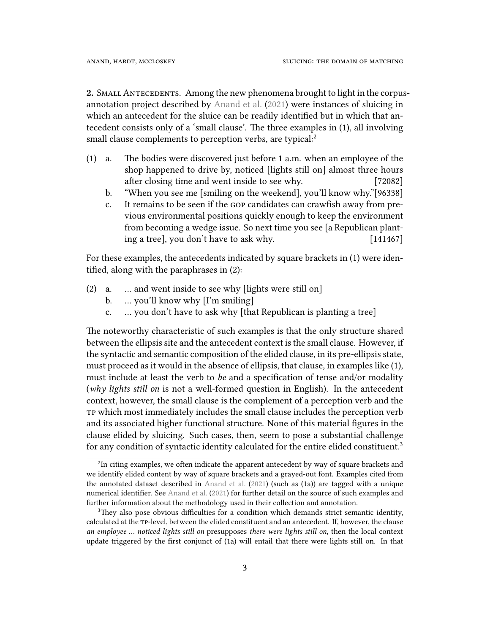2. SMALL ANTECEDENTS. Among the new phenomena brought to light in the corpusannotation project described by [Anand et al.](#page-18-4) [\(2021\)](#page-18-4) were instances of sluicing in which an antecedent for the sluice can be readily identified but in which that antecedent consists only of a 'small clause'. The three examples in (1), all involving small clause complements to perception verbs, are typical:<sup>[2](#page-2-0)</sup>

- <span id="page-2-3"></span><span id="page-2-2"></span>(1) a. The bodies were discovered just before 1 a.m. when an employee of the shop happened to drive by, noticed [lights still on] almost three hours after closing time and went inside to see why. [72082]
	- b. "When you see me [smiling on the weekend], you'll know why."[96338]
	- c. It remains to be seen if the gop candidates can crawfish away from previous environmental positions quickly enough to keep the environment from becoming a wedge issue. So next time you see [a Republican planting a tree], you don't have to ask why. [141467]

For these examples, the antecedents indicated by square brackets in (1) were identified, along with the paraphrases in (2):

- (2) a. … and went inside to see why [lights were still on]
	- b. … you'll know why [I'm smiling]
	- c. … you don't have to ask why [that Republican is planting a tree]

The noteworthy characteristic of such examples is that the only structure shared between the ellipsis site and the antecedent context is the small clause. However, if the syntactic and semantic composition of the elided clause, in its pre-ellipsis state, must proceed as it would in the absence of ellipsis, that clause, in examples like (1), must include at least the verb to *be* and a specification of tense and/or modality (*why lights still on* is not a well-formed question in English). In the antecedent context, however, the small clause is the complement of a perception verb and the tp which most immediately includes the small clause includes the perception verb and its associated higher functional structure. None of this material figures in the clause elided by sluicing. Such cases, then, seem to pose a substantial challenge for any condition of syntactic identity calculated for the entire elided constituent.<sup>[3](#page-2-1)</sup>

<span id="page-2-0"></span> $2$ In citing examples, we often indicate the apparent antecedent by way of square brackets and we identify elided content by way of square brackets and a grayed-out font. Examples cited from the annotated dataset described in [Anand et al.](#page-18-4) ([2021](#page-18-4)) (such as [\(1a\)\)](#page-2-2) are tagged with a unique numerical identifier. See [Anand et al.](#page-18-4) ([2021](#page-18-4)) for further detail on the source of such examples and further information about the methodology used in their collection and annotation.

<span id="page-2-1"></span><sup>&</sup>lt;sup>3</sup>They also pose obvious difficulties for a condition which demands strict semantic identity, calculated at the tp-level, between the elided constituent and an antecedent. If, however, the clause *an employee … noticed lights still on* presupposes *there were lights still on*, then the local context update triggered by the first conjunct of [\(1a\)](#page-2-2) will entail that there were lights still on. In that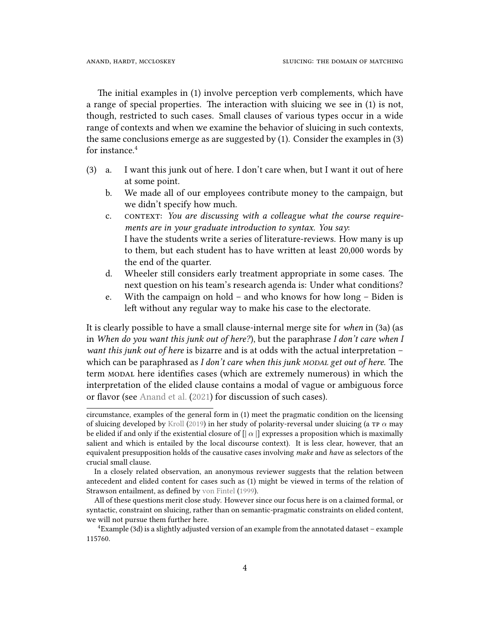The initial examples in [\(1\)](#page-2-3) involve perception verb complements, which have a range of special properties. The interaction with sluicing we see in [\(1\)](#page-2-3) is not, though, restricted to such cases. Small clauses of various types occur in a wide range of contexts and when we examine the behavior of sluicing in such contexts, the same conclusions emerge as are suggested by [\(1\)](#page-2-3). Consider the examples in [\(3\)](#page-3-0) for instance.<sup>[4](#page-3-1)</sup>

- <span id="page-3-0"></span>(3) a. I want this junk out of here. I don't care when, but I want it out of here at some point.
	- b. We made all of our employees contribute money to the campaign, but we didn't specify how much.
	- c. CONTEXT: You are discussing with a colleague what the course require*ments are in your graduate introduction to syntax. You say*: I have the students write a series of literature-reviews. How many is up to them, but each student has to have written at least 20,000 words by the end of the quarter.
	- d. Wheeler still considers early treatment appropriate in some cases. The next question on his team's research agenda is: Under what conditions?
	- e. With the campaign on hold and who knows for how long Biden is left without any regular way to make his case to the electorate.

<span id="page-3-3"></span><span id="page-3-2"></span>It is clearly possible to have a small clause-internal merge site for *when* in (3a) (as in *When do you want this junk out of here?*), but the paraphrase *I don't care when I want this junk out of here* is bizarre and is at odds with the actual interpretation – which can be paraphrased as *I don't care when this junk modal get out of here*. The term modal here identifies cases (which are extremely numerous) in which the interpretation of the elided clause contains a modal of vague or ambiguous force or flavor (see [Anand et al.](#page-18-4) [\(2021](#page-18-4)) for discussion of such cases).

circumstance, examples of the general form in [\(1\)](#page-2-3) meet the pragmatic condition on the licensing of sluicing developed by [Kroll](#page-19-6) ([2019](#page-19-6)) in her study of polarity-reversal under sluicing (a tp *α* may be elided if and only if the existential closure of [| *α* |] expresses a proposition which is maximally salient and which is entailed by the local discourse context). It is less clear, however, that an equivalent presupposition holds of the causative cases involving *make* and *have* as selectors of the crucial small clause.

In a closely related observation, an anonymous reviewer suggests that the relation between antecedent and elided content for cases such as [\(1\)](#page-2-3) might be viewed in terms of the relation of Strawson entailment, as defined by [von Fintel](#page-19-7) [\(1999\)](#page-19-7).

All of these questions merit close study. However since our focus here is on a claimed formal, or syntactic, constraint on sluicing, rather than on semantic-pragmatic constraints on elided content, we will not pursue them further here.

<span id="page-3-1"></span><sup>&</sup>lt;sup>4</sup>Example [\(3d\)](#page-3-2) is a slightly adjusted version of an example from the annotated dataset – example 115760.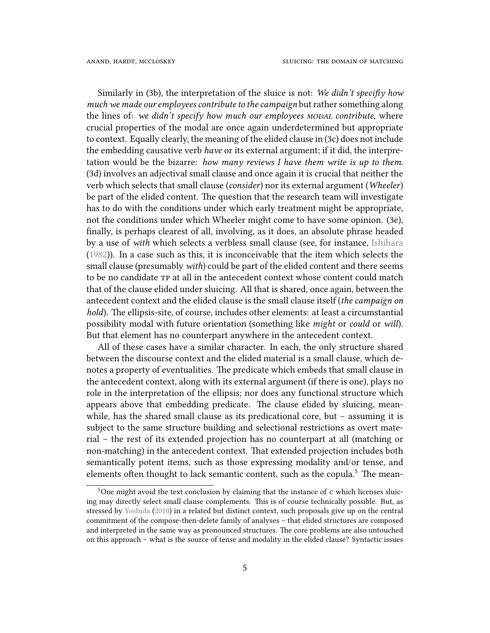Similarly in (3b), the interpretation of the sluice is not: *We didn't specifiy how much we made our employees contribute to the campaign* but rather something along the lines of: *we didn't specify how much our employees modal contribute*, where crucial properties of the modal are once again underdetermined but appropriate to context. Equally clearly, the meaning of the elided clause in (3c) does not include the embedding causative verb *have* or its external argument; if it did, the interpretation would be the bizarre: *how many reviews I have them write is up to them*. (3d) involves an adjectival small clause and once again it is crucial that neither the verb which selects that small clause (*consider*) nor its external argument (*Wheeler*) be part of the elided content. The question that the research team will investigate has to do with the conditions under which early treatment might be appropriate, not the conditions under which Wheeler might come to have some opinion. (3e), finally, is perhaps clearest of all, involving, as it does, an absolute phrase headed by a use of *with* which selects a verbless small clause (see, for instance, [Ishihara](#page-19-8) ([1982\)](#page-19-8)). In a case such as this, it is inconceivable that the item which selects the small clause (presumably *with*) could be part of the elided content and there seems to be no candidate tp at all in the antecedent context whose content could match that of the clause elided under sluicing. All that is shared, once again, between the antecedent context and the elided clause is the small clause itself (*the campaign on hold*). The ellipsis-site, of course, includes other elements: at least a circumstantial possibility modal with future orientation (something like *might* or *could* or *will*). But that element has no counterpart anywhere in the antecedent context.

All of these cases have a similar character. In each, the only structure shared between the discourse context and the elided material is a small clause, which denotes a property of eventualities. The predicate which embeds that small clause in the antecedent context, along with its external argument (if there is one), plays no role in the interpretation of the ellipsis; nor does any functional structure which appears above that embedding predicate. The clause elided by sluicing, meanwhile, has the shared small clause as its predicational core, but – assuming it is subject to the same structure building and selectional restrictions as overt material – the rest of its extended projection has no counterpart at all (matching or non-matching) in the antecedent context. That extended projection includes both semantically potent items, such as those expressing modality and/or tense, and elements often thought to lack semantic content, such as the copula.<sup>[5](#page-4-0)</sup> The mean-

<span id="page-4-0"></span> $5$ One might avoid the text conclusion by claiming that the instance of c which licenses sluicing may directly select small clause complements. This is of course technically possible. But, as stressed by [Yoshida](#page-21-2) [\(2010\)](#page-21-2) in a related but distinct context, such proposals give up on the central commitment of the compose-then-delete family of analyses – that elided structures are composed and interpreted in the same way as pronounced structures. The core problems are also untouched on this approach – what is the source of tense and modality in the elided clause? Syntactic issues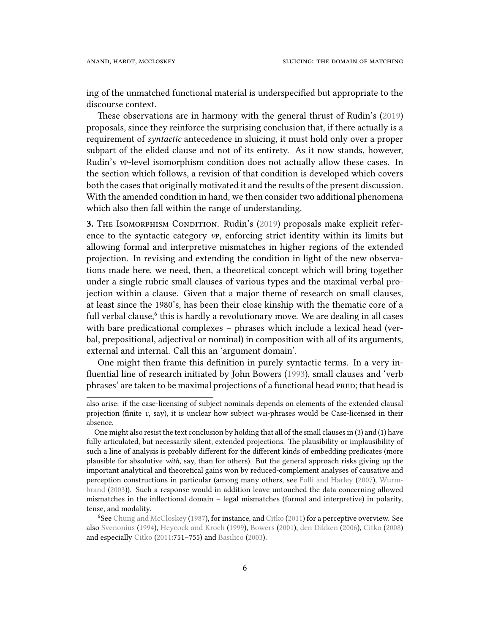ing of the unmatched functional material is underspecified but appropriate to the discourse context.

These observations are in harmony with the general thrust of Rudin's [\(2019](#page-21-0)) proposals, since they reinforce the surprising conclusion that, if there actually is a requirement of *syntactic* antecedence in sluicing, it must hold only over a proper subpart of the elided clause and not of its entirety. As it now stands, however, Rudin's *v*p-level isomorphism condition does not actually allow these cases. In the section which follows, a revision of that condition is developed which covers both the cases that originally motivated it and the results of the present discussion. With the amended condition in hand, we then consider two additional phenomena which also then fall within the range of understanding.

**3.**THE ISOMORPHISM CONDITION. Rudin's ([2019\)](#page-21-0) proposals make explicit reference to the syntactic category *v*p, enforcing strict identity within its limits but allowing formal and interpretive mismatches in higher regions of the extended projection. In revising and extending the condition in light of the new observations made here, we need, then, a theoretical concept which will bring together under a single rubric small clauses of various types and the maximal verbal projection within a clause. Given that a major theme of research on small clauses, at least since the 1980's, has been their close kinship with the thematic core of a full verbal clause, $^6$  $^6$  this is hardly a revolutionary move. We are dealing in all cases with bare predicational complexes – phrases which include a lexical head (verbal, prepositional, adjectival or nominal) in composition with all of its arguments, external and internal. Call this an 'argument domain'.

One might then frame this definition in purely syntactic terms. In a very influential line of research initiated by John Bowers([1993](#page-18-5)), small clauses and 'verb phrases' are taken to be maximal projections of a functional head PRED; that head is

also arise: if the case-licensing of subject nominals depends on elements of the extended clausal projection (finite T, say), it is unclear how subject WH-phrases would be Case-licensed in their absence.

One might also resist the text conclusion by holding that all of the small clauses in [\(3\)](#page-3-0) and [\(1\)](#page-2-3) have fully articulated, but necessarily silent, extended projections. The plausibility or implausibility of such a line of analysis is probably different for the different kinds of embedding predicates (more plausible for absolutive *with*, say, than for others). But the general approach risks giving up the important analytical and theoretical gains won by reduced-complement analyses of causative and perception constructions in particular (among many others, see [Folli and Harley](#page-19-9) [\(2007\)](#page-19-9), [Wurm](#page-21-5)[brand](#page-21-5) ([2003](#page-21-5))). Such a response would in addition leave untouched the data concerning allowed mismatches in the inflectional domain – legal mismatches (formal and interpretive) in polarity, tense, and modality.

<span id="page-5-0"></span> $6$ See [Chung and McCloskey](#page-18-6) [\(1987\)](#page-18-6), for instance, and [Citko](#page-18-7) ([2011](#page-18-7)) for a perceptive overview. See also [Svenonius](#page-21-6) [\(1994\)](#page-21-6), [Heycock and Kroch](#page-19-10) ([1999](#page-19-10)), [Bowers](#page-18-8) ([2001](#page-18-8)), [den Dikken](#page-19-11) [\(2006\)](#page-19-11), [Citko](#page-18-9) ([2008](#page-18-9)) and especially [Citko](#page-18-7) ([2011](#page-18-7):751–755) and [Basilico](#page-18-10) [\(2003\)](#page-18-10).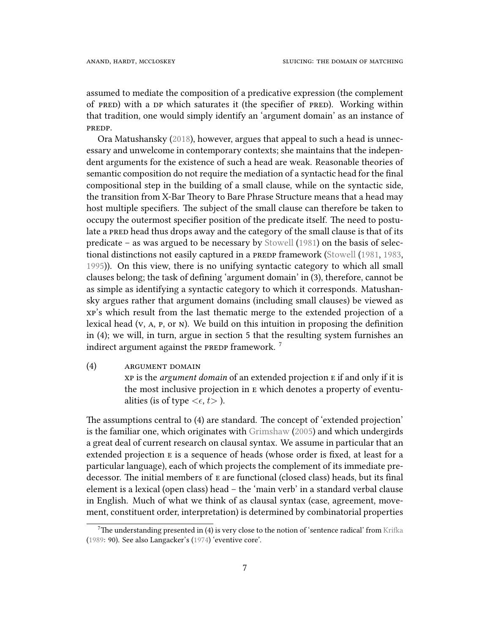assumed to mediate the composition of a predicative expression (the complement of PRED) with a DP which saturates it (the specifier of PRED). Working within that tradition, one would simply identify an 'argument domain' as an instance of pRedp.

Ora Matushansky([2018\)](#page-20-7), however, argues that appeal to such a head is unnecessary and unwelcome in contemporary contexts; she maintains that the independent arguments for the existence of such a head are weak. Reasonable theories of semantic composition do not require the mediation of a syntactic head for the final compositional step in the building of a small clause, while on the syntactic side, the transition from X-Bar Theory to Bare Phrase Structure means that a head may host multiple specifiers. The subject of the small clause can therefore be taken to occupy the outermost specifier position of the predicate itself. The need to postulate a PRED head thus drops away and the category of the small clause is that of its predicate – as was argued to be necessary by [Stowell](#page-21-7) ([1981\)](#page-21-7) on the basis of selec-tionaldistinctions not easily captured in a PREDP framework ([Stowell](#page-21-7) [\(1981,](#page-21-7) [1983](#page-21-8), [1995](#page-21-9))). On this view, there is no unifying syntactic category to which all small clauses belong; the task of defining 'argument domain' in (3), therefore, cannot be as simple as identifying a syntactic category to which it corresponds. Matushansky argues rather that argument domains (including small clauses) be viewed as xp's which result from the last thematic merge to the extended projection of a lexical head (v, a, p, or n). We build on this intuition in proposing the definition in (4); we will, in turn, argue in section [5](#page-13-0) that the resulting system furnishes an indirect argument against the PREDP framework.  $7$ 

<span id="page-6-1"></span>(4) aRgument domain xp is the *argument domain* of an extended projection e if and only if it is the most inclusive projection in e which denotes a property of eventualities (is of type  $\lt \epsilon, t$ ).

The assumptions central to [\(4\)](#page-6-1) are standard. The concept of 'extended projection' is the familiar one, which originates with [Grimshaw](#page-19-12) ([2005\)](#page-19-12) and which undergirds a great deal of current research on clausal syntax. We assume in particular that an extended projection e is a sequence of heads (whose order is fixed, at least for a particular language), each of which projects the complement of its immediate predecessor. The initial members of e are functional (closed class) heads, but its final element is a lexical (open class) head – the 'main verb' in a standard verbal clause in English. Much of what we think of as clausal syntax (case, agreement, movement, constituent order, interpretation) is determined by combinatorial properties

<span id="page-6-0"></span> $7$ The understanding presented in [\(4\)](#page-6-1) is very close to the notion of 'sentence radical' from [Krifka](#page-19-13) ([1989](#page-19-13): 90). See also Langacker's [\(1974\)](#page-20-8) 'eventive core'.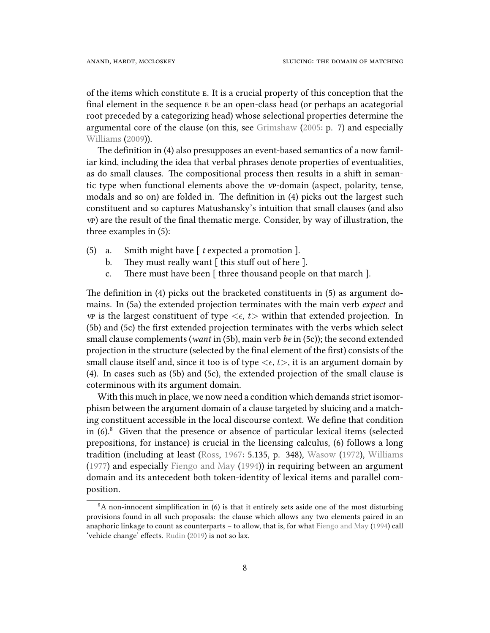of the items which constitute e. It is a crucial property of this conception that the final element in the sequence e be an open-class head (or perhaps an acategorial root preceded by a categorizing head) whose selectional properties determine the argumental core of the clause (on this, see [Grimshaw](#page-19-12) ([2005:](#page-19-12) p. 7) and especially [Williams](#page-21-10) [\(2009\)](#page-21-10)).

The definition in [\(4\)](#page-6-1) also presupposes an event-based semantics of a now familiar kind, including the idea that verbal phrases denote properties of eventualities, as do small clauses. The compositional process then results in a shift in semantic type when functional elements above the *v*p-domain (aspect, polarity, tense, modals and so on) are folded in. The definition in [\(4\)](#page-6-1) picks out the largest such constituent and so captures Matushansky's intuition that small clauses (and also *v*p) are the result of the final thematic merge. Consider, by way of illustration, the three examples in (5):

- (5) a. Smith might have [ *t* expected a promotion ].
	- b. They must really want [ this stuff out of here ].
	- c. There must have been [ three thousand people on that march ].

The definition in [\(4\)](#page-6-1) picks out the bracketed constituents in (5) as argument domains. In (5a) the extended projection terminates with the main verb *expect* and *v*P is the largest constituent of type <*∈*, *t* > within that extended projection. In (5b) and (5c) the first extended projection terminates with the verbs which select small clause complements (*want* in (5b), main verb *be* in (5c)); the second extended projection in the structure (selected by the final element of the first) consists of the small clause itself and, since it too is of type  $\langle \epsilon, t \rangle$ , it is an argument domain by [\(4\).](#page-6-1) In cases such as (5b) and (5c), the extended projection of the small clause is coterminous with its argument domain.

With this much in place, we now need a condition which demands strict isomorphism between the argument domain of a clause targeted by sluicing and a matching constituent accessible in the local discourse context. We define that condition in [\(6\).](#page-7-0) [8](#page-7-1) Given that the presence or absence of particular lexical items (selected prepositions, for instance) is crucial in the licensing calculus, [\(6\)](#page-7-0) follows a long tradition (including at least [\(Ross,](#page-20-9) [1967:](#page-20-9) 5.135, p. 348), [Wasow](#page-21-11) ([1972\)](#page-21-11), [Williams](#page-21-12) ([1977\)](#page-21-12) and especially [Fiengo and May](#page-19-3) ([1994](#page-19-3))) in requiring between an argument domain and its antecedent both token-identity of lexical items and parallel composition.

<span id="page-7-1"></span><span id="page-7-0"></span> $8A$  non-innocent simplification in [\(6\)](#page-7-0) is that it entirely sets aside one of the most disturbing provisions found in all such proposals: the clause which allows any two elements paired in an anaphoric linkage to count as counterparts – to allow, that is, for what [Fiengo and May](#page-19-3) [\(1994\)](#page-19-3) call 'vehicle change' effects. [Rudin](#page-21-0) [\(2019\)](#page-21-0) is not so lax.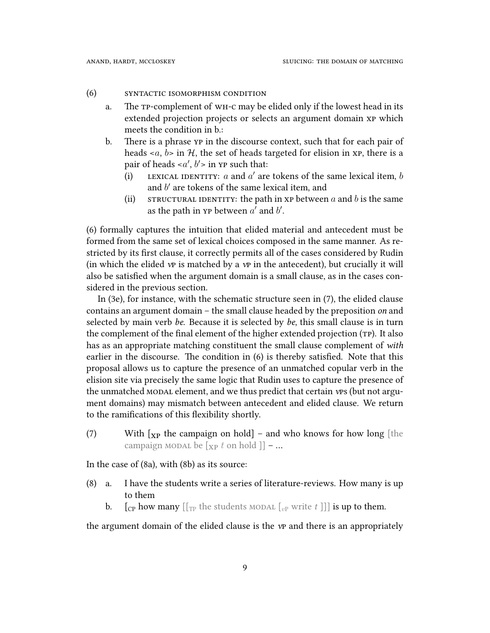### (6) syntactic isomoRphism condition

- a. The tp-complement of wh-c may be elided only if the lowest head in its extended projection projects or selects an argument domain xp which meets the condition in b.:
- b. There is a phrase yp in the discourse context, such that for each pair of heads  $\langle a, b \rangle$  in  $\mathcal{H}$ , the set of heads targeted for elision in xp, there is a pair of heads  $\langle a', b' \rangle$  in yp such that:
	- (i) LEXICAL IDENTITY:  $a$  and  $a'$  are tokens of the same lexical item,  $b$ and *b ′* are tokens of the same lexical item, and
	- (ii) straint strainglength in xp between *a* and *b* is the same as the path in  $\mathbf{v}$  p between  $a'$  and  $b'$ .

(6) formally captures the intuition that elided material and antecedent must be formed from the same set of lexical choices composed in the same manner. As restricted by its first clause, it correctly permits all of the cases considered by Rudin (in which the elided *v*p is matched by a *v*p in the antecedent), but crucially it will also be satisfied when the argument domain is a small clause, as in the cases considered in the previous section.

In [\(3e\)](#page-3-3), for instance, with the schematic structure seen in (7), the elided clause contains an argument domain – the small clause headed by the preposition *on* and selected by main verb *be*. Because it is selected by *be*, this small clause is in turn the complement of the final element of the higher extended projection (TP). It also has as an appropriate matching constituent the small clause complement of *with* earlier in the discourse. The condition in [\(6\)](#page-7-0) is thereby satisfied. Note that this proposal allows us to capture the presence of an unmatched copular verb in the elision site via precisely the same logic that Rudin uses to capture the presence of the unmatched modal element, and we thus predict that certain *v*ps (but not argument domains) may mismatch between antecedent and elided clause. We return to the ramifications of this flexibility shortly.

(7) With  $\begin{bmatrix} x_p \end{bmatrix}$  With  $\begin{bmatrix} x_p \end{bmatrix}$  with  $\begin{bmatrix} x_p \end{bmatrix}$  and who knows for how long  $\begin{bmatrix} \text{the} \end{bmatrix}$ campaign MODAL be  $[\text{xp } t \text{ on hold }]]$  – ...

In the case of (8a), with (8b) as its source:

- (8) a. I have the students write a series of literature-reviews. How many is up to them
	- **b.** [cp how many  $[\lceil_{\text{TP}}\rceil]$  the students MODAL  $[\lceil_{v}$  write  $t$ ]] is up to them.

the argument domain of the elided clause is the *v*p and there is an appropriately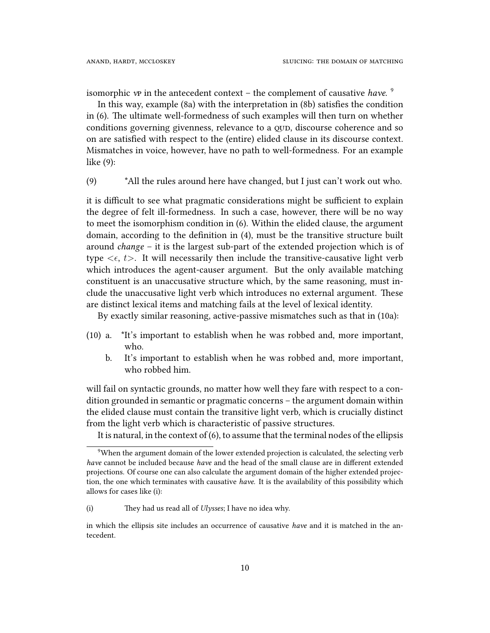isomorphic *v*p in the antecedent context – the complement of causative *have*. [9](#page-9-0)

In this way, example (8a) with the interpretation in (8b) satisfies the condition in [\(6\).](#page-7-0) The ultimate well-formedness of such examples will then turn on whether conditions governing givenness, relevance to a QUD, discourse coherence and so on are satisfied with respect to the (entire) elided clause in its discourse context. Mismatches in voice, however, have no path to well-formedness. For an example like (9):

(9) \*All the rules around here have changed, but I just can't work out who.

it is difficult to see what pragmatic considerations might be sufficient to explain the degree of felt ill-formedness. In such a case, however, there will be no way to meet the isomorphism condition in [\(6\).](#page-7-0) Within the elided clause, the argument domain, according to the definition in [\(4\),](#page-6-1) must be the transitive structure built around *change* – it is the largest sub-part of the extended projection which is of type  $\langle \epsilon, t \rangle$ . It will necessarily then include the transitive-causative light verb which introduces the agent-causer argument. But the only available matching constituent is an unaccusative structure which, by the same reasoning, must include the unaccusative light verb which introduces no external argument. These are distinct lexical items and matching fails at the level of lexical identity.

By exactly similar reasoning, active-passive mismatches such as that in [\(10a\):](#page-9-1)

- <span id="page-9-1"></span>(10) a. \*It's important to establish when he was robbed and, more important, who.
	- b. It's important to establish when he was robbed and, more important, who robbed him.

will fail on syntactic grounds, no matter how well they fare with respect to a condition grounded in semantic or pragmatic concerns – the argument domain within the elided clause must contain the transitive light verb, which is crucially distinct from the light verb which is characteristic of passive structures.

It is natural, in the context of  $(6)$ , to assume that the terminal nodes of the ellipsis

<span id="page-9-0"></span><sup>&</sup>lt;sup>9</sup>When the argument domain of the lower extended projection is calculated, the selecting verb *have* cannot be included because *have* and the head of the small clause are in different extended projections. Of course one can also calculate the argument domain of the higher extended projection, the one which terminates with causative *have*. It is the availability of this possibility which allows for cases like (i):

<sup>(</sup>i) They had us read all of *Ulysses*; I have no idea why.

in which the ellipsis site includes an occurrence of causative *have* and it is matched in the antecedent.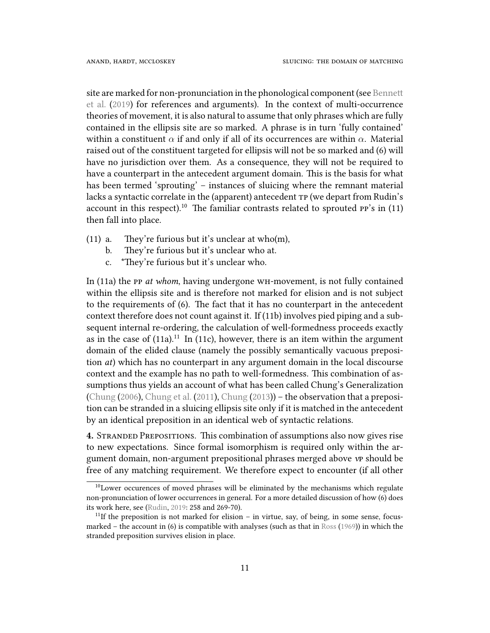site are marked for non-pronunciation in the phonological component (see [Bennett](#page-18-11) [et al.](#page-18-11) [\(2019\)](#page-18-11) for references and arguments). In the context of multi-occurrence theories of movement, it is also natural to assume that only phrases which are fully contained in the ellipsis site are so marked. A phrase is in turn 'fully contained' within a constituent  $\alpha$  if and only if all of its occurrences are within  $\alpha$ . Material raised out of the constituent targeted for ellipsis will not be so marked and [\(6\)](#page-7-0) will have no jurisdiction over them. As a consequence, they will not be required to have a counterpart in the antecedent argument domain. This is the basis for what has been termed 'sprouting' – instances of sluicing where the remnant material lacks a syntactic correlate in the (apparent) antecedent TP (we depart from Rudin's account in this respect).<sup>[10](#page-10-0)</sup> The familiar contrasts related to sprouted  $PP's$  in (11) then fall into place.

- (11) a. They're furious but it's unclear at who(m),
	- b. They're furious but it's unclear who at.
	- c. \*They're furious but it's unclear who.

In (11a) the pp *at whom*, having undergone wh-movement, is not fully contained within the ellipsis site and is therefore not marked for elision and is not subject to the requirements of [\(6\)](#page-7-0). The fact that it has no counterpart in the antecedent context therefore does not count against it. If (11b) involves pied piping and a subsequent internal re-ordering, the calculation of well-formedness proceeds exactly as in the case of  $(11a)$  $(11a)$  $(11a)$ .<sup>11</sup> In  $(11c)$ , however, there is an item within the argument domain of the elided clause (namely the possibly semantically vacuous preposition *at*) which has no counterpart in any argument domain in the local discourse context and the example has no path to well-formedness. This combination of assumptions thus yields an account of what has been called Chung's Generalization ([Chung](#page-18-2) [\(2006\)](#page-18-2), [Chung et al.](#page-18-1) ([2011\)](#page-18-1), [Chung](#page-18-3) [\(2013\)](#page-18-3)) – the observation that a preposition can be stranded in a sluicing ellipsis site only if it is matched in the antecedent by an identical preposition in an identical web of syntactic relations.

**4.** StRanded PRepositions. This combination of assumptions also now gives rise to new expectations. Since formal isomorphism is required only within the argument domain, non-argument prepositional phrases merged above *v*p should be free of any matching requirement. We therefore expect to encounter (if all other

<span id="page-10-0"></span><sup>10</sup>Lower occurences of moved phrases will be eliminated by the mechanisms which regulate non-pronunciation of lower occurrences in general. For a more detailed discussion of how [\(6\)](#page-7-0) does its work here, see([Rudin,](#page-21-0) [2019](#page-21-0): 258 and 269-70).

<span id="page-10-1"></span><sup>&</sup>lt;sup>11</sup>If the preposition is not marked for elision – in virtue, say, of being, in some sense, focusmarked – the account in  $(6)$  is compatible with analyses (such as that in  $\text{Ross}$  $\text{Ross}$  $\text{Ross}$   $(1969)$  $(1969)$  $(1969)$ ) in which the stranded preposition survives elision in place.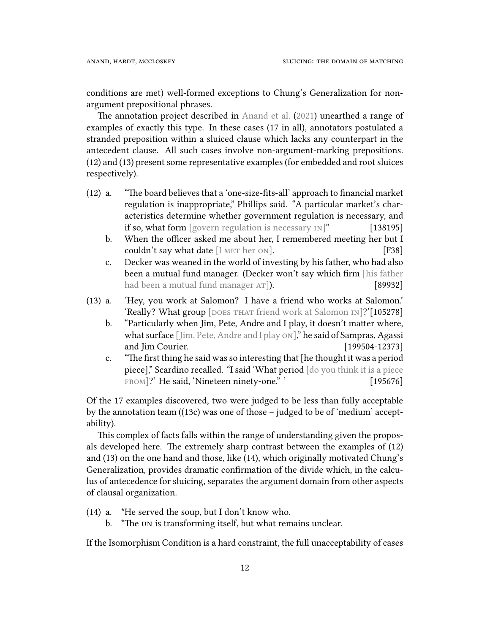conditions are met) well-formed exceptions to Chung's Generalization for nonargument prepositional phrases.

The annotation project described in [Anand et al.](#page-18-4) [\(2021\)](#page-18-4) unearthed a range of examples of exactly this type. In these cases (17 in all), annotators postulated a stranded preposition within a sluiced clause which lacks any counterpart in the antecedent clause. All such cases involve non-argument-marking prepositions. (12) and (13) present some representative examples (for embedded and root sluices respectively).

- <span id="page-11-0"></span>(12) a. "The board believes that a 'one-size-fits-all' approach to financial market regulation is inappropriate," Phillips said. "A particular market's characteristics determine whether government regulation is necessary, and if so, what form [govern regulation is necessary  $\lfloor N \rfloor$ " [138195]
	- b. When the officer asked me about her, I remembered meeting her but I couldn't say what date  $[I \text{ MET her ON}]$ . [F38]
	- c. Decker was weaned in the world of investing by his father, who had also been a mutual fund manager. (Decker won't say which firm [his father had been a mutual fund manager  $AT$ ]). [89932]
- <span id="page-11-1"></span>(13) a. 'Hey, you work at Salomon? I have a friend who works at Salomon.' 'Really? What group [DOES THAT friend work at Salomon IN]?'[105278]
	- b. "Particularly when Jim, Pete, Andre and I play, it doesn't matter where, what surface [Jim, Pete, Andre and I play ON]," he said of Sampras, Agassi and Jim Courier. [199504-12373]
	- c. "The first thing he said was so interesting that [he thought it was a period piece]," Scardino recalled. "I said 'What period [do you think it is a piece FROM]?' He said, 'Nineteen ninety-one." ' [195676]

Of the 17 examples discovered, two were judged to be less than fully acceptable by the annotation team ((13c) was one of those – judged to be of 'medium' acceptability).

This complex of facts falls within the range of understanding given the proposals developed here. The extremely sharp contrast between the examples of (12) and (13) on the one hand and those, like (14), which originally motivated Chung's Generalization, provides dramatic confirmation of the divide which, in the calculus of antecedence for sluicing, separates the argument domain from other aspects of clausal organization.

- (14) a. \*He served the soup, but I don't know who.
	- b. \*The un is transforming itself, but what remains unclear.

If the Isomorphism Condition is a hard constraint, the full unacceptability of cases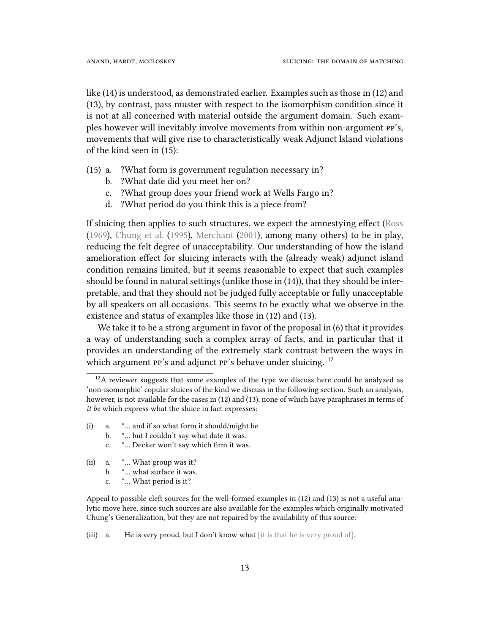like (14) is understood, as demonstrated earlier. Examples such as those in [\(12\)](#page-11-0) and [\(13\)](#page-11-1), by contrast, pass muster with respect to the isomorphism condition since it is not at all concerned with material outside the argument domain. Such examples however will inevitably involve movements from within non-argument pp's, movements that will give rise to characteristically weak Adjunct Island violations of the kind seen in (15):

- (15) a. ?What form is government regulation necessary in?
	- b. ?What date did you meet her on?
	- c. ?What group does your friend work at Wells Fargo in?
	- d. ?What period do you think this is a piece from?

If sluicing then applies to such structures, we expect the amnestying effect([Ross](#page-21-13) ([1969\)](#page-21-13), [Chung et al.](#page-18-0) ([1995\)](#page-18-0), [Merchant](#page-20-1) [\(2001\)](#page-20-1), among many others) to be in play, reducing the felt degree of unacceptability. Our understanding of how the island amelioration effect for sluicing interacts with the (already weak) adjunct island condition remains limited, but it seems reasonable to expect that such examples should be found in natural settings (unlike those in (14)), that they should be interpretable, and that they should not be judged fully acceptable or fully unacceptable by all speakers on all occasions. This seems to be exactly what we observe in the existence and status of examples like those in [\(12\)](#page-11-0) and [\(13\)](#page-11-1).

We take it to be a strong argument in favor of the proposal in [\(6\)](#page-7-0) that it provides a way of understanding such a complex array of facts, and in particular that it provides an understanding of the extremely stark contrast between the ways in which argument  $PP's$  and adjunct  $PP's$  behave under sluicing.  $12$ 

- (i) a. \*… and if so what form it should/might be
	- b. \*… but I couldn't say what date it was.
	- c. \*… Decker won't say which firm it was.
- (ii) a. \*… What group was it?
	- b. \*… what surface it was.
		- c. \*… What period is it?

Appeal to possible cleft sources for the well-formed examples in [\(12\)](#page-11-0) and [\(13\)](#page-11-1) is not a useful analytic move here, since such sources are also available for the examples which originally motivated Chung's Generalization, but they are not repaired by the availability of this source:

(iii) a. He is very proud, but I don't know what [it is that he is very proud of].

<span id="page-12-0"></span> $12A$  reviewer suggests that some examples of the type we discuss here could be analyzed as 'non-isomorphic' copular sluices of the kind we discuss in the following section. Such an analysis, however, is not available for the cases in [\(12\)](#page-11-0) and [\(13\),](#page-11-1) none of which have paraphrases in terms of *it be* which express what the sluice in fact expresses: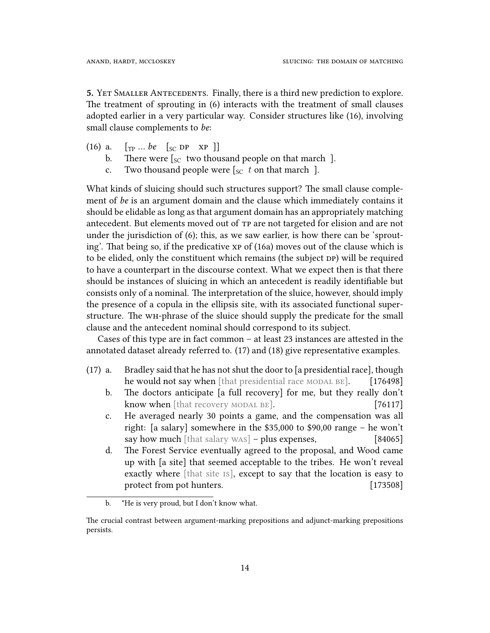<span id="page-13-0"></span>**5.** YET SMALLER ANTECEDENTS. Finally, there is a third new prediction to explore. The treatment of sprouting in [\(6\)](#page-7-0) interacts with the treatment of small clauses adopted earlier in a very particular way. Consider structures like (16), involving small clause complements to *be*:

- (16) a.  $[\text{TP} \dots be \text{ [SC DP} \text{ XP} ]]$ 
	- b. There were  $\int_{\text{SC}}$  two thousand people on that march ].
	- c. Two thousand people were  $\left[ \begin{smallmatrix} 1 \\ \text{s.t} \end{smallmatrix} \right]$  to that march  $\left[ \begin{smallmatrix} 1 \\ \text{0} \end{smallmatrix} \right]$ .

What kinds of sluicing should such structures support? The small clause complement of *be* is an argument domain and the clause which immediately contains it should be elidable as long as that argument domain has an appropriately matching antecedent. But elements moved out of TP are not targeted for elision and are not under the jurisdiction of [\(6\)](#page-7-0); this, as we saw earlier, is how there can be 'sprouting'. That being so, if the predicative xp of (16a) moves out of the clause which is to be elided, only the constituent which remains (the subject pp) will be required to have a counterpart in the discourse context. What we expect then is that there should be instances of sluicing in which an antecedent is readily identifiable but consists only of a nominal. The interpretation of the sluice, however, should imply the presence of a copula in the ellipsis site, with its associated functional superstructure. The wh-phrase of the sluice should supply the predicate for the small clause and the antecedent nominal should correspond to its subject.

<span id="page-13-1"></span>Cases of this type are in fact common – at least 23 instances are attested in the annotated dataset already referred to. (17) and (18) give representative examples.

- (17) a. Bradley said that he has not shut the door to [a presidential race], though he would not say when [that presidential race MODAL BE].  $[176498]$ 
	- b. The doctors anticipate [a full recovery] for me, but they really don't know when [that recovery MODAL BE]. [76117]
	- c. He averaged nearly 30 points a game, and the compensation was all right: [a salary] somewhere in the \$35,000 to \$90,00 range – he won't say how much [that salary was] – plus expenses, [84065]
	- d. The Forest Service eventually agreed to the proposal, and Wood came up with [a site] that seemed acceptable to the tribes. He won't reveal exactly where [that site is], except to say that the location is easy to protect from pot hunters. [173508]

b. \*He is very proud, but I don't know what.

The crucial contrast between argument-marking prepositions and adjunct-marking prepositions persists.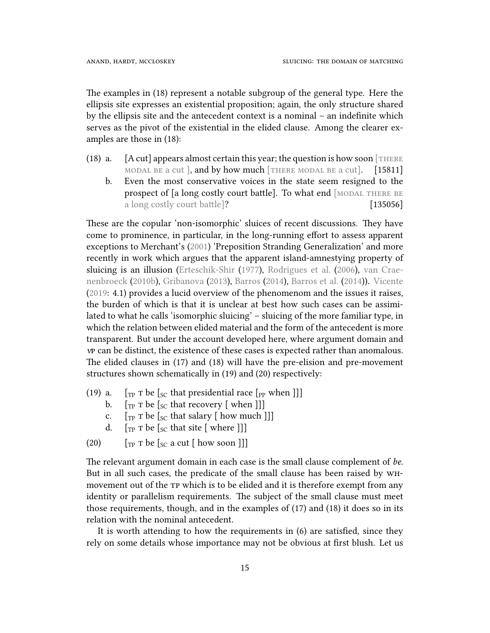The examples in (18) represent a notable subgroup of the general type. Here the ellipsis site expresses an existential proposition; again, the only structure shared by the ellipsis site and the antecedent context is a nominal – an indefinite which serves as the pivot of the existential in the elided clause. Among the clearer examples are those in (18):

- <span id="page-14-0"></span>(18) a.  $[A \text{ cut}]$  appears almost certain this year; the question is how soon  $[THEOREM]$ MODAL BE a cut ], and by how much [THERE MODAL BE a cut].  $[15811]$ 
	- b. Even the most conservative voices in the state seem resigned to the prospect of [a long costly court battle]. To what end [MODAL THERE BE a long costly court battle<sup>[2]</sup> [135056]

These are the copular 'non-isomorphic' sluices of recent discussions. They have come to prominence, in particular, in the long-running effort to assess apparent exceptions to Merchant's([2001\)](#page-20-1) 'Preposition Stranding Generalization' and more recently in work which argues that the apparent island-amnestying property of sluicing is an illusion([Erteschik-Shir](#page-19-14) ([1977\)](#page-19-14), [Rodrigues et al.](#page-20-10) [\(2006\)](#page-20-10), [van Crae](#page-18-12)[nenbroeck](#page-18-12) [\(2010b](#page-18-12)), [Gribanova](#page-19-15) ([2013](#page-19-15)), [Barros](#page-18-13) [\(2014\)](#page-18-13), [Barros et al.](#page-18-14) [\(2014](#page-18-14))). [Vicente](#page-21-3) ([2019:](#page-21-3) 4.1) provides a lucid overview of the phenomenom and the issues it raises, the burden of which is that it is unclear at best how such cases can be assimilated to what he calls 'isomorphic sluicing' – sluicing of the more familiar type, in which the relation between elided material and the form of the antecedent is more transparent. But under the account developed here, where argument domain and *v*p can be distinct, the existence of these cases is expected rather than anomalous. The elided clauses in (17) and (18) will have the pre-elision and pre-movement structures shown schematically in (19) and (20) respectively:

- <span id="page-14-1"></span>(19) a.  $[\text{TP} \space \text{T} \space \text{be} \space \text{[sc} \space \text{that} \space \text{presidential} \space \text{race} \space \text{[pp when} \space \text{]]}]$ 
	- b.  $[\text{TP} \space \text{T} \space \text{be} \space [\text{sc} \space \text{that recovery} \space [\text{when} \space]]]$
	- c.  $[\text{TP} \space \text{T} \space \text{be} \space \text{[sc} \space \text{that salary} \space \text{[how much ]}]]$
	- d.  $[\text{TP} \space \text{T} \space \text{be} \space \text{[s]} \text{c} \space \text{that} \space \text{site} \space \text{[where]}]]$
- (20)  $\left[\begin{matrix}T_P & T \end{matrix}\right]$   $\left[\begin{matrix}S_C & a \end{matrix}\right]$  (how soon ]]

The relevant argument domain in each case is the small clause complement of *be*. But in all such cases, the predicate of the small clause has been raised by whmovement out of the  $TP$  which is to be elided and it is therefore exempt from any identity or parallelism requirements. The subject of the small clause must meet those requirements, though, and in the examples of [\(17\)](#page-13-1) and [\(18\)](#page-14-0) it does so in its relation with the nominal antecedent.

It is worth attending to how the requirements in [\(6\)](#page-7-0) are satisfied, since they rely on some details whose importance may not be obvious at first blush. Let us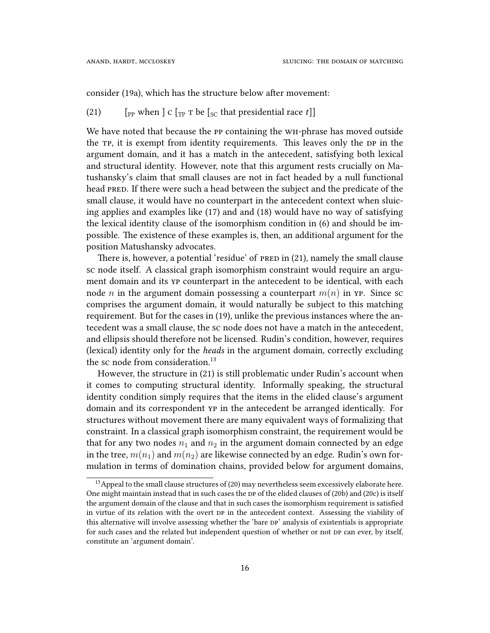<span id="page-15-0"></span>consider (19a), which has the structure below after movement:

## (21)  $\left[$  [<sub>PP</sub> when  $\left[$  c  $\left[$ <sub>TP</sub>  $\tau$  be  $\left[$ <sub>SC</sub> that presidential race *t*]]

We have noted that because the PP containing the WH-phrase has moved outside the TP, it is exempt from identity requirements. This leaves only the DP in the argument domain, and it has a match in the antecedent, satisfying both lexical and structural identity. However, note that this argument rests crucially on Matushansky's claim that small clauses are not in fact headed by a null functional head pRed. If there were such a head between the subject and the predicate of the small clause, it would have no counterpart in the antecedent context when sluicing applies and examples like [\(17\)](#page-13-1) and and [\(18\)](#page-14-0) would have no way of satisfying the lexical identity clause of the isomorphism condition in [\(6\)](#page-7-0) and should be impossible. The existence of these examples is, then, an additional argument for the position Matushansky advocates.

There is, however, a potential 'residue' of PRED in [\(21\),](#page-15-0) namely the small clause sc node itself. A classical graph isomorphism constraint would require an argument domain and its yp counterpart in the antecedent to be identical, with each node *n* in the argument domain possessing a counterpart *m*(*n*) in yp. Since sc comprises the argument domain, it would naturally be subject to this matching requirement. But for the cases in [\(19\),](#page-14-1) unlike the previous instances where the antecedent was a small clause, the sc node does not have a match in the antecedent, and ellipsis should therefore not be licensed. Rudin's condition, however, requires (lexical) identity only for the *heads* in the argument domain, correctly excluding the sc node from consideration.<sup>[13](#page-15-1)</sup>

However, the structure in [\(21\)](#page-15-0) is still problematic under Rudin's account when it comes to computing structural identity. Informally speaking, the structural identity condition simply requires that the items in the elided clause's argument domain and its correspondent yp in the antecedent be arranged identically. For structures without movement there are many equivalent ways of formalizing that constraint. In a classical graph isomorphism constraint, the requirement would be that for any two nodes  $n_1$  and  $n_2$  in the argument domain connected by an edge in the tree,  $m(n_1)$  and  $m(n_2)$  are likewise connected by an edge. Rudin's own formulation in terms of domination chains, provided below for argument domains,

<span id="page-15-1"></span> $13$  Appeal to the small clause structures of (20) may nevertheless seem excessively elaborate here. One might maintain instead that in such cases the  $p \cdot p$  of the elided clauses of (20b) and (20c) is itself the argument domain of the clause and that in such cases the isomorphism requirement is satisfied in virtue of its relation with the overt DP in the antecedent context. Assessing the viability of this alternative will involve assessing whether the 'bare DP' analysis of existentials is appropriate for such cases and the related but independent question of whether or not DP can ever, by itself, constitute an 'argument domain'.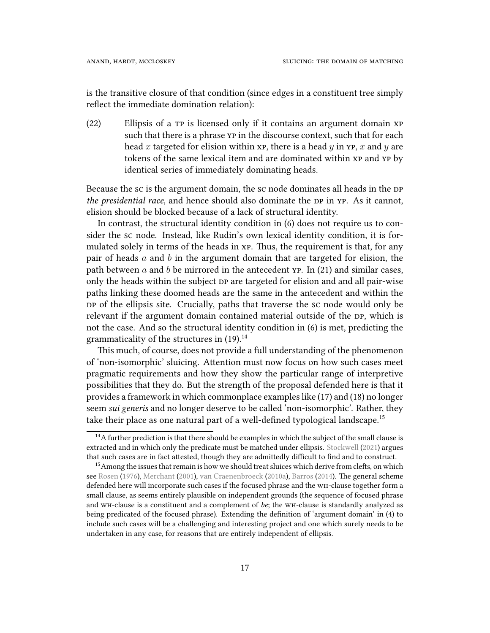is the transitive closure of that condition (since edges in a constituent tree simply reflect the immediate domination relation):

(22) Ellipsis of a tp is licensed only if it contains an argument domain xp such that there is a phrase yp in the discourse context, such that for each head *x* targeted for elision within xp, there is a head *y* in yp, *x* and *y* are tokens of the same lexical item and are dominated within xp and yp by identical series of immediately dominating heads.

Because the sc is the argument domain, the sc node dominates all heads in the DP *the presidential race*, and hence should also dominate the DP in YP. As it cannot, elision should be blocked because of a lack of structural identity.

In contrast, the structural identity condition in [\(6\)](#page-7-0) does not require us to consider the sc node. Instead, like Rudin's own lexical identity condition, it is formulated solely in terms of the heads in xp. Thus, the requirement is that, for any pair of heads *a* and *b* in the argument domain that are targeted for elision, the path between *a* and *b* be mirrored in the antecedent yp. In [\(21\)](#page-15-0) and similar cases, only the heads within the subject DP are targeted for elision and and all pair-wise paths linking these doomed heads are the same in the antecedent and within the DP of the ellipsis site. Crucially, paths that traverse the sc node would only be relevant if the argument domain contained material outside of the DP, which is not the case. And so the structural identity condition in [\(6\)](#page-7-0) is met, predicting the grammaticality of the structures in [\(19\)](#page-14-1).<sup>[14](#page-16-0)</sup>

This much, of course, does not provide a full understanding of the phenomenon of 'non-isomorphic' sluicing. Attention must now focus on how such cases meet pragmatic requirements and how they show the particular range of interpretive possibilities that they do. But the strength of the proposal defended here is that it provides a framework in which commonplace examples like [\(17\)](#page-13-1) and [\(18\)](#page-14-0) no longer seem *sui generis* and no longer deserve to be called 'non-isomorphic'. Rather, they take their place as one natural part of a well-defined typological landscape.<sup>[15](#page-16-1)</sup>

<span id="page-16-0"></span> $14A$  further prediction is that there should be examples in which the subject of the small clause is extracted and in which only the predicate must be matched under ellipsis. [Stockwell](#page-21-14) [\(2021\)](#page-21-14) argues that such cases are in fact attested, though they are admittedly difficult to find and to construct.

<span id="page-16-1"></span><sup>&</sup>lt;sup>15</sup> Among the issues that remain is how we should treat sluices which derive from clefts, on which see [Rosen](#page-20-11) [\(1976\)](#page-20-11), [Merchant](#page-20-1) ([2001](#page-20-1)), [van Craenenbroeck](#page-18-15) [\(2010a](#page-18-15)), [Barros](#page-18-13) ([2014](#page-18-13)). The general scheme defended here will incorporate such cases if the focused phrase and the wh-clause together form a small clause, as seems entirely plausible on independent grounds (the sequence of focused phrase and wh-clause is a constituent and a complement of *be*; the wh-clause is standardly analyzed as being predicated of the focused phrase). Extending the definition of 'argument domain' in [\(4\)](#page-6-1) to include such cases will be a challenging and interesting project and one which surely needs to be undertaken in any case, for reasons that are entirely independent of ellipsis.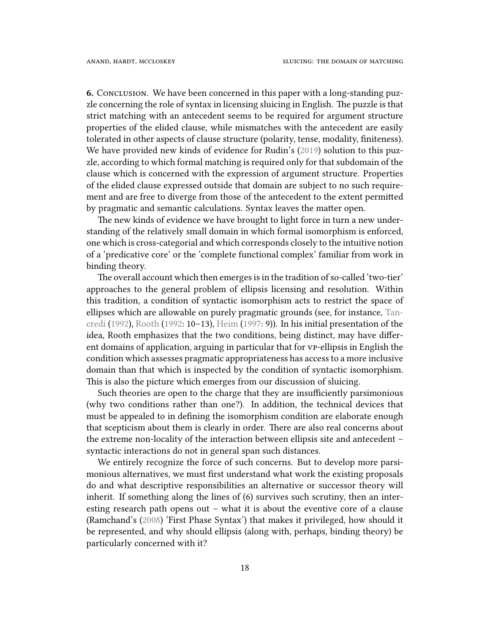**6.** Conclusion. We have been concerned in this paper with a long-standing puzzle concerning the role of syntax in licensing sluicing in English. The puzzle is that strict matching with an antecedent seems to be required for argument structure properties of the elided clause, while mismatches with the antecedent are easily tolerated in other aspects of clause structure (polarity, tense, modality, finiteness). We have provided new kinds of evidence for Rudin's [\(2019](#page-21-0)) solution to this puzzle, according to which formal matching is required only for that subdomain of the clause which is concerned with the expression of argument structure. Properties of the elided clause expressed outside that domain are subject to no such requirement and are free to diverge from those of the antecedent to the extent permitted by pragmatic and semantic calculations. Syntax leaves the matter open.

The new kinds of evidence we have brought to light force in turn a new understanding of the relatively small domain in which formal isomorphism is enforced, one which is cross-categorial and which corresponds closely to the intuitive notion of a 'predicative core' or the 'complete functional complex' familiar from work in binding theory.

The overall account which then emerges is in the tradition of so-called 'two-tier' approaches to the general problem of ellipsis licensing and resolution. Within this tradition, a condition of syntactic isomorphism acts to restrict the space of ellipses which are allowable on purely pragmatic grounds (see, for instance, [Tan](#page-21-1)[credi](#page-21-1) [\(1992\)](#page-21-1), [Rooth](#page-20-0) [\(1992:](#page-20-0) 10–13), [Heim](#page-19-0) ([1997](#page-19-0): 9)). In his initial presentation of the idea, Rooth emphasizes that the two conditions, being distinct, may have different domains of application, arguing in particular that for vp-ellipsis in English the condition which assesses pragmatic appropriateness has access to a more inclusive domain than that which is inspected by the condition of syntactic isomorphism. This is also the picture which emerges from our discussion of sluicing.

Such theories are open to the charge that they are insufficiently parsimonious (why two conditions rather than one?). In addition, the technical devices that must be appealed to in defining the isomorphism condition are elaborate enough that scepticism about them is clearly in order. There are also real concerns about the extreme non-locality of the interaction between ellipsis site and antecedent – syntactic interactions do not in general span such distances.

We entirely recognize the force of such concerns. But to develop more parsimonious alternatives, we must first understand what work the existing proposals do and what descriptive responsibilities an alternative or successor theory will inherit. If something along the lines of [\(6\)](#page-7-0) survives such scrutiny, then an interesting research path opens out – what it is about the eventive core of a clause (Ramchand's [\(2008](#page-20-6)) 'First Phase Syntax') that makes it privileged, how should it be represented, and why should ellipsis (along with, perhaps, binding theory) be particularly concerned with it?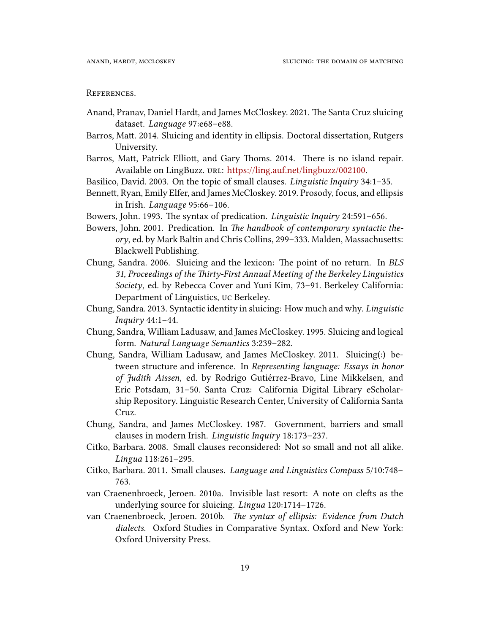#### RefeRences.

- <span id="page-18-4"></span>Anand, Pranav, Daniel Hardt, and James McCloskey. 2021. The Santa Cruz sluicing dataset. *Language* 97:e68–e88.
- <span id="page-18-13"></span>Barros, Matt. 2014. Sluicing and identity in ellipsis. Doctoral dissertation, Rutgers University.
- <span id="page-18-14"></span>Barros, Matt, Patrick Elliott, and Gary Thoms. 2014. There is no island repair. Available on LingBuzz. uRL: [https://ling.auf.net/lingbuzz/002100.](https://ling.auf.net/lingbuzz/002100)
- <span id="page-18-10"></span>Basilico, David. 2003. On the topic of small clauses. *Linguistic Inquiry* 34:1–35.
- <span id="page-18-11"></span>Bennett, Ryan, Emily Elfer, and James McCloskey. 2019. Prosody, focus, and ellipsis in Irish. *Language* 95:66–106.
- <span id="page-18-5"></span>Bowers, John. 1993. The syntax of predication. *Linguistic Inquiry* 24:591–656.
- <span id="page-18-8"></span>Bowers, John. 2001. Predication. In *The handbook of contemporary syntactic theory*, ed. by Mark Baltin and Chris Collins, 299–333. Malden, Massachusetts: Blackwell Publishing.
- <span id="page-18-2"></span>Chung, Sandra. 2006. Sluicing and the lexicon: The point of no return. In *BLS 31, Proceedings of the Thirty-First Annual Meeting of the Berkeley Linguistics Society*, ed. by Rebecca Cover and Yuni Kim, 73–91. Berkeley California: Department of Linguistics, uc Berkeley.
- <span id="page-18-3"></span>Chung, Sandra. 2013. Syntactic identity in sluicing: How much and why. *Linguistic Inquiry* 44:1–44.
- <span id="page-18-0"></span>Chung, Sandra, William Ladusaw, and James McCloskey. 1995. Sluicing and logical form. *Natural Language Semantics* 3:239–282.
- <span id="page-18-1"></span>Chung, Sandra, William Ladusaw, and James McCloskey. 2011. Sluicing(:) between structure and inference. In *Representing language: Essays in honor of Judith Aissen*, ed. by Rodrigo Gutiérrez-Bravo, Line Mikkelsen, and Eric Potsdam, 31–50. Santa Cruz: California Digital Library eScholarship Repository. Linguistic Research Center, University of California Santa Cruz.
- <span id="page-18-6"></span>Chung, Sandra, and James McCloskey. 1987. Government, barriers and small clauses in modern Irish. *Linguistic Inquiry* 18:173–237.
- <span id="page-18-9"></span>Citko, Barbara. 2008. Small clauses reconsidered: Not so small and not all alike. *Lingua* 118:261–295.
- <span id="page-18-7"></span>Citko, Barbara. 2011. Small clauses. *Language and Linguistics Compass* 5/10:748– 763.
- <span id="page-18-15"></span>van Craenenbroeck, Jeroen. 2010a. Invisible last resort: A note on clefts as the underlying source for sluicing. *Lingua* 120:1714–1726.
- <span id="page-18-12"></span>van Craenenbroeck, Jeroen. 2010b. *The syntax of ellipsis: Evidence from Dutch dialects*. Oxford Studies in Comparative Syntax. Oxford and New York: Oxford University Press.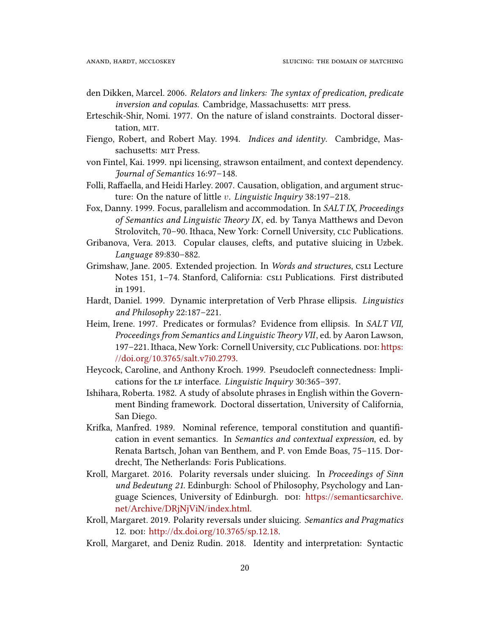- <span id="page-19-11"></span>den Dikken, Marcel. 2006. *Relators and linkers: The syntax of predication, predicate inversion and copulas*. Cambridge, Massachusetts: mit press.
- <span id="page-19-14"></span>Erteschik-Shir, Nomi. 1977. On the nature of island constraints. Doctoral dissertation, MIT.
- <span id="page-19-3"></span>Fiengo, Robert, and Robert May. 1994. *Indices and identity*. Cambridge, Massachusetts: MIT Press.
- <span id="page-19-7"></span>von Fintel, Kai. 1999. npi licensing, strawson entailment, and context dependency. *Journal of Semantics* 16:97–148.
- <span id="page-19-9"></span>Folli, Raffaella, and Heidi Harley. 2007. Causation, obligation, and argument structure: On the nature of little *v*. *Linguistic Inquiry* 38:197–218.
- <span id="page-19-2"></span>Fox, Danny. 1999. Focus, parallelism and accommodation. In *SALT IX, Proceedings of Semantics and Linguistic Theory IX*, ed. by Tanya Matthews and Devon Strolovitch, 70-90. Ithaca, New York: Cornell University, CLC Publications.
- <span id="page-19-15"></span>Gribanova, Vera. 2013. Copular clauses, clefts, and putative sluicing in Uzbek. *Language* 89:830–882.
- <span id="page-19-12"></span>Grimshaw, Jane. 2005. Extended projection. In *Words and structures*, csli Lecture Notes 151, 1-74. Stanford, California: CSLI Publications. First distributed in 1991.
- <span id="page-19-1"></span>Hardt, Daniel. 1999. Dynamic interpretation of Verb Phrase ellipsis. *Linguistics and Philosophy* 22:187–221.
- <span id="page-19-0"></span>Heim, Irene. 1997. Predicates or formulas? Evidence from ellipsis. In *SALT VII, Proceedings from Semantics and Linguistic Theory VII*, ed. by Aaron Lawson, 197-221. Ithaca, New York: Cornell University, CLC Publications. DOI: [https:](https://doi.org/10.3765/salt.v7i0.2793) [//doi.org/10.3765/salt.v7i0.2793.](https://doi.org/10.3765/salt.v7i0.2793)
- <span id="page-19-10"></span>Heycock, Caroline, and Anthony Kroch. 1999. Pseudocleft connectedness: Implications for the lf interface. *Linguistic Inquiry* 30:365–397.
- <span id="page-19-8"></span>Ishihara, Roberta. 1982. A study of absolute phrases in English within the Government Binding framework. Doctoral dissertation, University of California, San Diego.
- <span id="page-19-13"></span>Krifka, Manfred. 1989. Nominal reference, temporal constitution and quantification in event semantics. In *Semantics and contextual expression*, ed. by Renata Bartsch, Johan van Benthem, and P. von Emde Boas, 75–115. Dordrecht, The Netherlands: Foris Publications.
- <span id="page-19-5"></span>Kroll, Margaret. 2016. Polarity reversals under sluicing. In *Proceedings of Sinn und Bedeutung 21*. Edinburgh: School of Philosophy, Psychology and Language Sciences, University of Edinburgh. DOI: [https://semanticsarchive.](https://semanticsarchive.net/Archive/DRjNjViN/index.html) [net/Archive/DRjNjViN/index.html](https://semanticsarchive.net/Archive/DRjNjViN/index.html).
- <span id="page-19-6"></span>Kroll, Margaret. 2019. Polarity reversals under sluicing. *Semantics and Pragmatics* 12. doi: [http://dx.doi.org/10.3765/sp.12.18.](http://dx.doi.org/10.3765/sp.12.18)
- <span id="page-19-4"></span>Kroll, Margaret, and Deniz Rudin. 2018. Identity and interpretation: Syntactic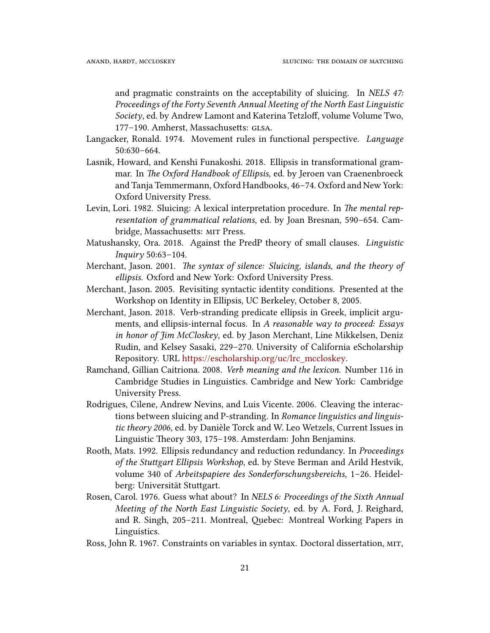and pragmatic constraints on the acceptability of sluicing. In *NELS 47: Proceedings of the Forty Seventh Annual Meeting of the North East Linguistic Society*, ed. by Andrew Lamont and Katerina Tetzloff, volume Volume Two, 177-190. Amherst, Massachusetts: GLSA.

- <span id="page-20-8"></span>Langacker, Ronald. 1974. Movement rules in functional perspective. *Language* 50:630–664.
- <span id="page-20-5"></span>Lasnik, Howard, and Kenshi Funakoshi. 2018. Ellipsis in transformational grammar. In *The Oxford Handbook of Ellipsis*, ed. by Jeroen van Craenenbroeck and Tanja Temmermann, Oxford Handbooks, 46–74. Oxford and New York: Oxford University Press.
- <span id="page-20-3"></span>Levin, Lori. 1982. Sluicing: A lexical interpretation procedure. In *The mental representation of grammatical relations*, ed. by Joan Bresnan, 590–654. Cambridge, Massachusetts: MIT Press.
- <span id="page-20-7"></span>Matushansky, Ora. 2018. Against the PredP theory of small clauses. *Linguistic Inquiry* 50:63–104.
- <span id="page-20-1"></span>Merchant, Jason. 2001. *The syntax of silence: Sluicing, islands, and the theory of ellipsis*. Oxford and New York: Oxford University Press.
- <span id="page-20-4"></span>Merchant, Jason. 2005. Revisiting syntactic identity conditions. Presented at the Workshop on Identity in Ellipsis, UC Berkeley, October 8, 2005.
- <span id="page-20-2"></span>Merchant, Jason. 2018. Verb-stranding predicate ellipsis in Greek, implicit arguments, and ellipsis-internal focus. In *A reasonable way to proceed: Essays in honor of Jim McCloskey*, ed. by Jason Merchant, Line Mikkelsen, Deniz Rudin, and Kelsey Sasaki, 229–270. University of California eScholarship Repository. URL [https://escholarship.org/uc/lrc\\_mccloskey](https://escholarship.org/uc/lrc_mccloskey).
- <span id="page-20-6"></span>Ramchand, Gillian Caitriona. 2008. *Verb meaning and the lexicon*. Number 116 in Cambridge Studies in Linguistics. Cambridge and New York: Cambridge University Press.
- <span id="page-20-10"></span>Rodrigues, Cilene, Andrew Nevins, and Luis Vicente. 2006. Cleaving the interactions between sluicing and P-stranding. In *Romance linguistics and linguistic theory 2006*, ed. by Danièle Torck and W. Leo Wetzels, Current Issues in Linguistic Theory 303, 175–198. Amsterdam: John Benjamins.
- <span id="page-20-0"></span>Rooth, Mats. 1992. Ellipsis redundancy and reduction redundancy. In *Proceedings of the Stuttgart Ellipsis Workshop*, ed. by Steve Berman and Arild Hestvik, volume 340 of *Arbeitspapiere des Sonderforschungsbereichs*, 1–26. Heidelberg: Universität Stuttgart.
- <span id="page-20-11"></span>Rosen, Carol. 1976. Guess what about? In *NELS 6: Proceedings of the Sixth Annual Meeting of the North East Linguistic Society*, ed. by A. Ford, J. Reighard, and R. Singh, 205–211. Montreal, Quebec: Montreal Working Papers in Linguistics.
- <span id="page-20-9"></span>Ross, John R. 1967. Constraints on variables in syntax. Doctoral dissertation, mit,